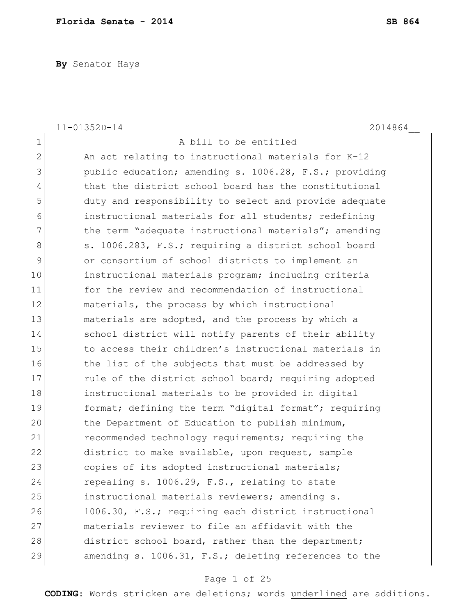**By** Senator Hays

|                | 2014864<br>11-01352D-14                                |
|----------------|--------------------------------------------------------|
| 1              | A bill to be entitled                                  |
| $\mathbf{2}$   | An act relating to instructional materials for K-12    |
| 3              | public education; amending s. 1006.28, F.S.; providing |
| $\overline{4}$ | that the district school board has the constitutional  |
| 5              | duty and responsibility to select and provide adequate |
| 6              | instructional materials for all students; redefining   |
| 7              | the term "adequate instructional materials"; amending  |
| 8              | s. 1006.283, F.S.; requiring a district school board   |
| 9              | or consortium of school districts to implement an      |
| 10             | instructional materials program; including criteria    |
| 11             | for the review and recommendation of instructional     |
| 12             | materials, the process by which instructional          |
| 13             | materials are adopted, and the process by which a      |
| 14             | school district will notify parents of their ability   |
| 15             | to access their children's instructional materials in  |
| 16             | the list of the subjects that must be addressed by     |
| 17             | rule of the district school board; requiring adopted   |
| 18             | instructional materials to be provided in digital      |
| 19             | format; defining the term "digital format"; requiring  |
| 20             | the Department of Education to publish minimum,        |
| 21             | recommended technology requirements; requiring the     |
| 22             | district to make available, upon request, sample       |
| 23             | copies of its adopted instructional materials;         |
| 24             | repealing s. 1006.29, F.S., relating to state          |
| 25             | instructional materials reviewers; amending s.         |
| 26             | 1006.30, F.S.; requiring each district instructional   |
| 27             | materials reviewer to file an affidavit with the       |
| 28             | district school board, rather than the department;     |
| 29             | amending s. 1006.31, F.S.; deleting references to the  |
|                |                                                        |

# Page 1 of 25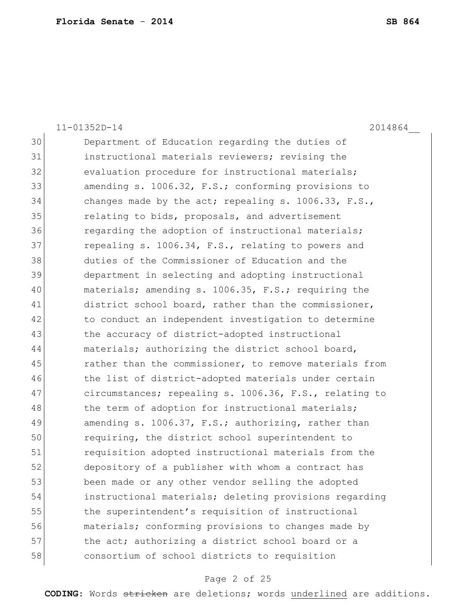|    | $11 - 01352D - 14$<br>2014864                           |
|----|---------------------------------------------------------|
| 30 | Department of Education regarding the duties of         |
| 31 | instructional materials reviewers; revising the         |
| 32 | evaluation procedure for instructional materials;       |
| 33 | amending s. 1006.32, F.S.; conforming provisions to     |
| 34 | changes made by the act; repealing s. $1006.33$ , F.S., |
| 35 | relating to bids, proposals, and advertisement          |
| 36 | regarding the adoption of instructional materials;      |
| 37 | repealing s. 1006.34, F.S., relating to powers and      |
| 38 | duties of the Commissioner of Education and the         |
| 39 | department in selecting and adopting instructional      |
| 40 | materials; amending s. 1006.35, F.S.; requiring the     |
| 41 | district school board, rather than the commissioner,    |
| 42 | to conduct an independent investigation to determine    |
| 43 | the accuracy of district-adopted instructional          |
| 44 | materials; authorizing the district school board,       |
| 45 | rather than the commissioner, to remove materials from  |
| 46 | the list of district-adopted materials under certain    |
| 47 | circumstances; repealing s. 1006.36, F.S., relating to  |
| 48 | the term of adoption for instructional materials;       |
| 49 | amending s. 1006.37, F.S.; authorizing, rather than     |
| 50 | requiring, the district school superintendent to        |
| 51 | requisition adopted instructional materials from the    |
| 52 | depository of a publisher with whom a contract has      |
| 53 | been made or any other vendor selling the adopted       |
| 54 | instructional materials; deleting provisions regarding  |
| 55 | the superintendent's requisition of instructional       |
| 56 | materials; conforming provisions to changes made by     |
| 57 | the act; authorizing a district school board or a       |
| 58 | consortium of school districts to requisition           |

# Page 2 of 25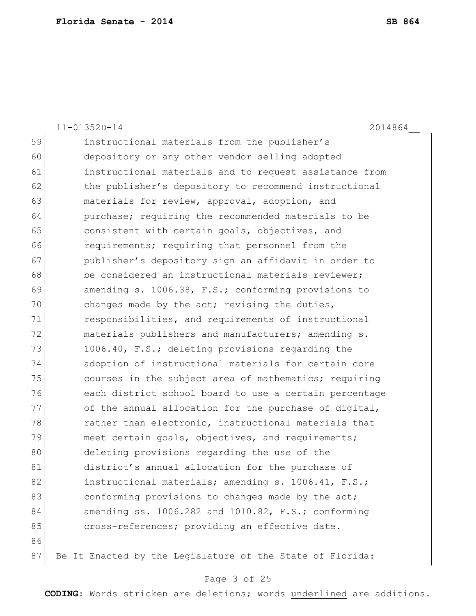|    | $11 - 01352D - 14$<br>2014864                             |
|----|-----------------------------------------------------------|
| 59 | instructional materials from the publisher's              |
| 60 | depository or any other vendor selling adopted            |
| 61 | instructional materials and to request assistance from    |
| 62 | the publisher's depository to recommend instructional     |
| 63 | materials for review, approval, adoption, and             |
| 64 | purchase; requiring the recommended materials to be       |
| 65 | consistent with certain goals, objectives, and            |
| 66 | requirements; requiring that personnel from the           |
| 67 | publisher's depository sign an affidavit in order to      |
| 68 | be considered an instructional materials reviewer;        |
| 69 | amending s. 1006.38, F.S.; conforming provisions to       |
| 70 | changes made by the act; revising the duties,             |
| 71 | responsibilities, and requirements of instructional       |
| 72 | materials publishers and manufacturers; amending s.       |
| 73 | 1006.40, F.S.; deleting provisions regarding the          |
| 74 | adoption of instructional materials for certain core      |
| 75 | courses in the subject area of mathematics; requiring     |
| 76 | each district school board to use a certain percentage    |
| 77 | of the annual allocation for the purchase of digital,     |
| 78 | rather than electronic, instructional materials that      |
| 79 | meet certain goals, objectives, and requirements;         |
| 80 | deleting provisions regarding the use of the              |
| 81 | district's annual allocation for the purchase of          |
| 82 | instructional materials; amending s. 1006.41, F.S.;       |
| 83 | conforming provisions to changes made by the act;         |
| 84 | amending ss. 1006.282 and 1010.82, F.S.; conforming       |
| 85 | cross-references; providing an effective date.            |
| 86 |                                                           |
| 87 | Be It Enacted by the Legislature of the State of Florida: |

# Page 3 of 25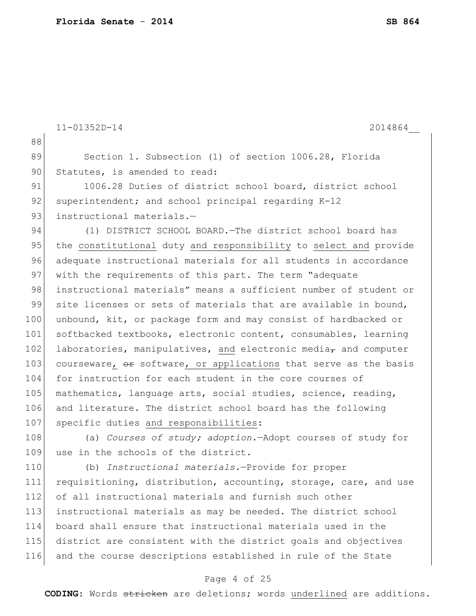```
11-01352D-14 2014864__
88
89 Section 1. Subsection (1) of section 1006.28, Florida
90 Statutes, is amended to read:
91 1006.28 Duties of district school board, district school
92 superintendent; and school principal regarding K-12
93 instructional materials.—
94 (1) DISTRICT SCHOOL BOARD. The district school board has
95 the constitutional duty and responsibility to select and provide
96 adequate instructional materials for all students in accordance 
97 with the requirements of this part. The term "adequate
98 instructional materials" means a sufficient number of student or
99 site licenses or sets of materials that are available in bound,
100 unbound, kit, or package form and may consist of hardbacked or
101 softbacked textbooks, electronic content, consumables, learning
102 laboratories, manipulatives, and electronic media_{\tau} and computer
103 courseware, \theta is software, or applications that serve as the basis
104 for instruction for each student in the core courses of 
105 mathematics, language arts, social studies, science, reading,
106 and literature. The district school board has the following 
107 specific duties and responsibilities:
108 (a) Courses of study; adoption.—Adopt courses of study for 
109 use in the schools of the district.
110 (b) Instructional materials.—Provide for proper 
111 requisitioning, distribution, accounting, storage, care, and use 
112 of all instructional materials and furnish such other
113 instructional materials as may be needed. The district school 
114 board shall ensure that instructional materials used in the 
115 district are consistent with the district goals and objectives 
116 and the course descriptions established in rule of the State
```
### Page 4 of 25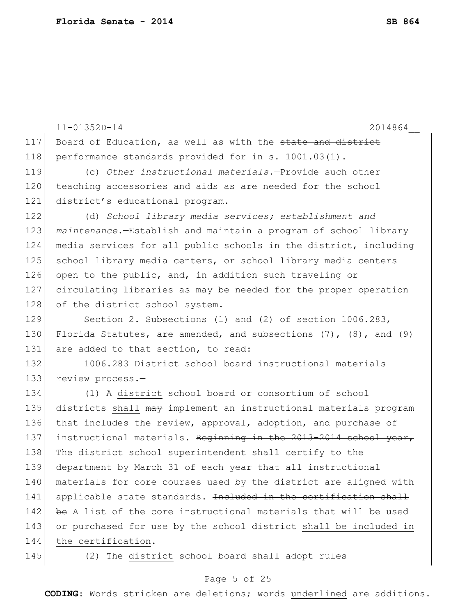|     | $11 - 01352D - 14$<br>2014864                                              |
|-----|----------------------------------------------------------------------------|
| 117 | Board of Education, as well as with the state and district                 |
| 118 | performance standards provided for in s. 1001.03(1).                       |
| 119 | (c) Other instructional materials.-Provide such other                      |
| 120 | teaching accessories and aids as are needed for the school                 |
| 121 | district's educational program.                                            |
| 122 | (d) School library media services; establishment and                       |
| 123 | maintenance.-Establish and maintain a program of school library            |
| 124 | media services for all public schools in the district, including           |
| 125 | school library media centers, or school library media centers              |
| 126 | open to the public, and, in addition such traveling or                     |
| 127 | circulating libraries as may be needed for the proper operation            |
| 128 | of the district school system.                                             |
| 129 | Section 2. Subsections (1) and (2) of section $1006.283$ ,                 |
| 130 | Florida Statutes, are amended, and subsections $(7)$ , $(8)$ , and $(9)$   |
| 131 | are added to that section, to read:                                        |
| 132 | 1006.283 District school board instructional materials                     |
| 133 | review process.-                                                           |
| 134 | (1) A district school board or consortium of school                        |
| 135 | districts shall may implement an instructional materials program           |
| 136 | that includes the review, approval, adoption, and purchase of              |
| 137 | instructional materials. Beginning in the 2013-2014 school year,           |
| 138 | The district school superintendent shall certify to the                    |
| 139 | department by March 31 of each year that all instructional                 |
| 140 | materials for core courses used by the district are aligned with           |
| 141 | applicable state standards. <del>Included in the certification shall</del> |
| 142 | be A list of the core instructional materials that will be used            |
| 143 | or purchased for use by the school district shall be included in           |
| 144 | the certification.                                                         |
| 145 | (2) The district school board shall adopt rules                            |

# Page 5 of 25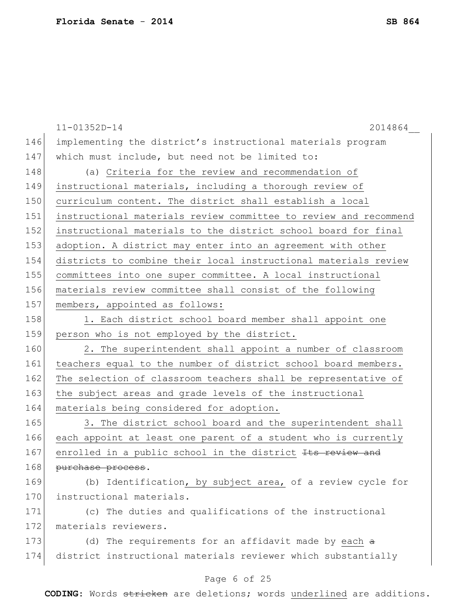|     | $11 - 01352D - 14$<br>2014864                                    |
|-----|------------------------------------------------------------------|
| 146 | implementing the district's instructional materials program      |
| 147 | which must include, but need not be limited to:                  |
| 148 | (a) Criteria for the review and recommendation of                |
| 149 | instructional materials, including a thorough review of          |
| 150 | curriculum content. The district shall establish a local         |
| 151 | instructional materials review committee to review and recommend |
| 152 | instructional materials to the district school board for final   |
| 153 | adoption. A district may enter into an agreement with other      |
| 154 | districts to combine their local instructional materials review  |
| 155 | committees into one super committee. A local instructional       |
| 156 | materials review committee shall consist of the following        |
| 157 | members, appointed as follows:                                   |
| 158 | 1. Each district school board member shall appoint one           |
| 159 | person who is not employed by the district.                      |
| 160 | 2. The superintendent shall appoint a number of classroom        |
| 161 | teachers equal to the number of district school board members.   |
| 162 | The selection of classroom teachers shall be representative of   |
| 163 | the subject areas and grade levels of the instructional          |
| 164 | materials being considered for adoption.                         |
| 165 | 3. The district school board and the superintendent shall        |
| 166 | each appoint at least one parent of a student who is currently   |
| 167 | enrolled in a public school in the district Its review and       |
| 168 | purchase process.                                                |
| 169 | (b) Identification, by subject area, of a review cycle for       |
| 170 | instructional materials.                                         |
| 171 | (c) The duties and qualifications of the instructional           |
| 172 | materials reviewers.                                             |
| 173 | (d) The requirements for an affidavit made by each a             |
| 174 | district instructional materials reviewer which substantially    |
|     | Page 6 of 25                                                     |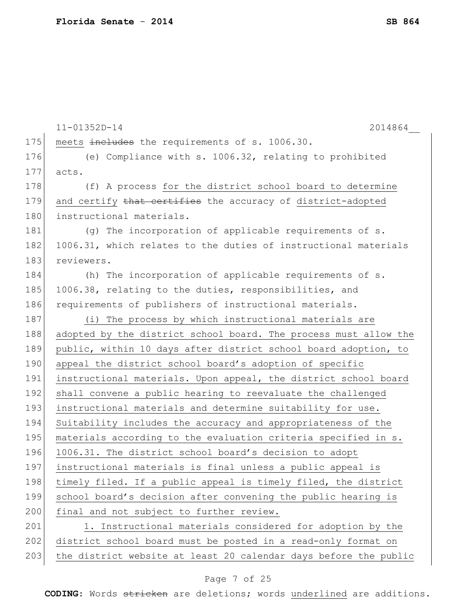|     | $11 - 01352D - 14$<br>2014864                                    |
|-----|------------------------------------------------------------------|
| 175 | meets includes the requirements of s. 1006.30.                   |
| 176 | (e) Compliance with s. 1006.32, relating to prohibited           |
| 177 | acts.                                                            |
| 178 | (f) A process for the district school board to determine         |
| 179 | and certify that certifies the accuracy of district-adopted      |
| 180 | instructional materials.                                         |
| 181 | (g) The incorporation of applicable requirements of s.           |
| 182 | 1006.31, which relates to the duties of instructional materials  |
| 183 | reviewers.                                                       |
| 184 | (h) The incorporation of applicable requirements of s.           |
| 185 | 1006.38, relating to the duties, responsibilities, and           |
| 186 | requirements of publishers of instructional materials.           |
| 187 | (i) The process by which instructional materials are             |
| 188 | adopted by the district school board. The process must allow the |
| 189 | public, within 10 days after district school board adoption, to  |
| 190 | appeal the district school board's adoption of specific          |
| 191 | instructional materials. Upon appeal, the district school board  |
| 192 | shall convene a public hearing to reevaluate the challenged      |
| 193 | instructional materials and determine suitability for use.       |
| 194 | Suitability includes the accuracy and appropriateness of the     |
| 195 | materials according to the evaluation criteria specified in s.   |
| 196 | 1006.31. The district school board's decision to adopt           |
| 197 | instructional materials is final unless a public appeal is       |
| 198 | timely filed. If a public appeal is timely filed, the district   |
| 199 | school board's decision after convening the public hearing is    |
| 200 | final and not subject to further review.                         |
| 201 | 1. Instructional materials considered for adoption by the        |
| 202 | district school board must be posted in a read-only format on    |
| 203 | the district website at least 20 calendar days before the public |

# Page 7 of 25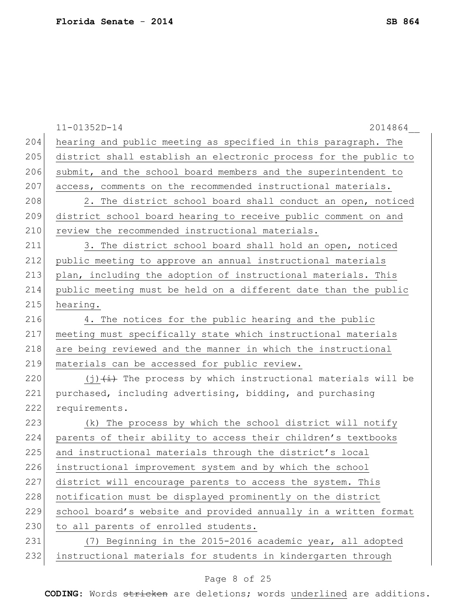|     | $11 - 01352D - 14$<br>2014864                                    |
|-----|------------------------------------------------------------------|
| 204 | hearing and public meeting as specified in this paragraph. The   |
| 205 | district shall establish an electronic process for the public to |
| 206 | submit, and the school board members and the superintendent to   |
| 207 | access, comments on the recommended instructional materials.     |
| 208 | 2. The district school board shall conduct an open, noticed      |
| 209 | district school board hearing to receive public comment on and   |
| 210 | review the recommended instructional materials.                  |
| 211 | 3. The district school board shall hold an open, noticed         |
| 212 | public meeting to approve an annual instructional materials      |
| 213 | plan, including the adoption of instructional materials. This    |
| 214 | public meeting must be held on a different date than the public  |
| 215 | hearing.                                                         |
| 216 | 4. The notices for the public hearing and the public             |
| 217 | meeting must specifically state which instructional materials    |
| 218 | are being reviewed and the manner in which the instructional     |
| 219 | materials can be accessed for public review.                     |
| 220 | $(j)$ $(i)$ The process by which instructional materials will be |
| 221 | purchased, including advertising, bidding, and purchasing        |
| 222 | requirements.                                                    |
| 223 | (k) The process by which the school district will notify         |
| 224 | parents of their ability to access their children's textbooks    |
| 225 | and instructional materials through the district's local         |
| 226 | instructional improvement system and by which the school         |
| 227 | district will encourage parents to access the system. This       |
| 228 | notification must be displayed prominently on the district       |
| 229 | school board's website and provided annually in a written format |
| 230 | to all parents of enrolled students.                             |
| 231 | (7) Beginning in the 2015-2016 academic year, all adopted        |
| 232 | instructional materials for students in kindergarten through     |
|     |                                                                  |

# Page 8 of 25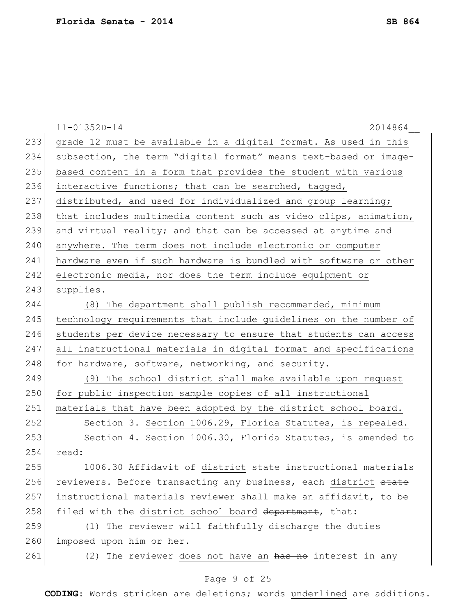|     | $11 - 01352D - 14$<br>2014864                                          |
|-----|------------------------------------------------------------------------|
| 233 | grade 12 must be available in a digital format. As used in this        |
| 234 | subsection, the term "digital format" means text-based or image-       |
| 235 | based content in a form that provides the student with various         |
| 236 | interactive functions; that can be searched, tagged,                   |
| 237 | distributed, and used for individualized and group learning;           |
| 238 | that includes multimedia content such as video clips, animation,       |
| 239 | and virtual reality; and that can be accessed at anytime and           |
| 240 | anywhere. The term does not include electronic or computer             |
| 241 | hardware even if such hardware is bundled with software or other       |
| 242 | electronic media, nor does the term include equipment or               |
| 243 | supplies.                                                              |
| 244 | (8) The department shall publish recommended, minimum                  |
| 245 | technology requirements that include guidelines on the number of       |
| 246 | students per device necessary to ensure that students can access       |
| 247 | all instructional materials in digital format and specifications       |
| 248 | for hardware, software, networking, and security.                      |
| 249 | (9) The school district shall make available upon request              |
| 250 | for public inspection sample copies of all instructional               |
| 251 | materials that have been adopted by the district school board.         |
| 252 | Section 3. Section 1006.29, Florida Statutes, is repealed.             |
| 253 | Section 4. Section 1006.30, Florida Statutes, is amended to            |
| 254 | read:                                                                  |
| 255 | 1006.30 Affidavit of district <del>state</del> instructional materials |
| 256 | reviewers. - Before transacting any business, each district state      |
| 257 | instructional materials reviewer shall make an affidavit, to be        |
| 258 | filed with the district school board department, that:                 |
| 259 | (1) The reviewer will faithfully discharge the duties                  |
| 260 | imposed upon him or her.                                               |
| 261 | (2) The reviewer does not have an has no interest in any               |

# Page 9 of 25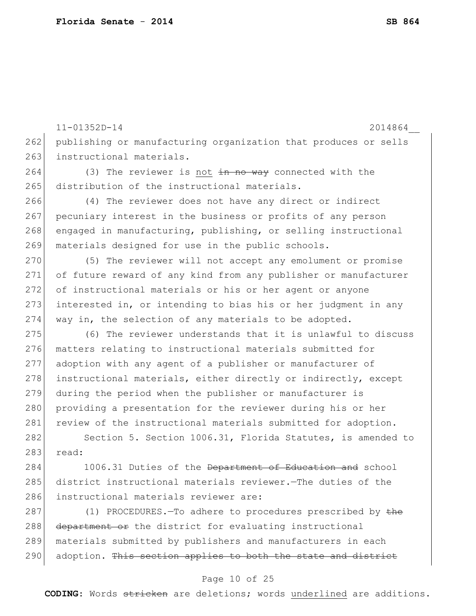11-01352D-14 2014864\_\_ 262 publishing or manufacturing organization that produces or sells 263 instructional materials. 264 (3) The reviewer is not  $\frac{1}{2}$  and  $\frac{1}{2}$  connected with the 265 distribution of the instructional materials. 266 (4) The reviewer does not have any direct or indirect 267 pecuniary interest in the business or profits of any person 268 engaged in manufacturing, publishing, or selling instructional 269 materials designed for use in the public schools. 270 (5) The reviewer will not accept any emolument or promise 271 of future reward of any kind from any publisher or manufacturer 272 of instructional materials or his or her agent or anyone 273 interested in, or intending to bias his or her judgment in any 274 way in, the selection of any materials to be adopted. 275 (6) The reviewer understands that it is unlawful to discuss 276 matters relating to instructional materials submitted for 277 adoption with any agent of a publisher or manufacturer of 278 instructional materials, either directly or indirectly, except 279 during the period when the publisher or manufacturer is 280 providing a presentation for the reviewer during his or her 281 review of the instructional materials submitted for adoption. 282 Section 5. Section 1006.31, Florida Statutes, is amended to 283 read: 284 1006.31 Duties of the <del>Department of Education and</del> school 285 district instructional materials reviewer.—The duties of the 286 instructional materials reviewer are: 287 (1) PROCEDURES.—To adhere to procedures prescribed by the 288 department or the district for evaluating instructional 289 materials submitted by publishers and manufacturers in each 290 adoption. This section applies to both the state and district

#### Page 10 of 25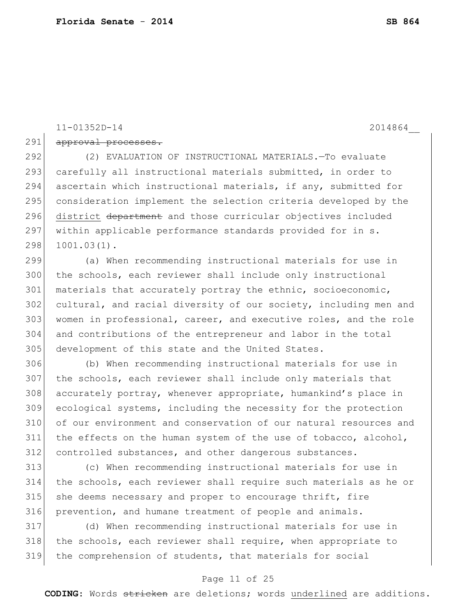11-01352D-14 2014864\_\_

291 approval processes.

 (2) EVALUATION OF INSTRUCTIONAL MATERIALS.—To evaluate 293 carefully all instructional materials submitted, in order to ascertain which instructional materials, if any, submitted for consideration implement the selection criteria developed by the 296 district department and those curricular objectives included 297 | within applicable performance standards provided for in s. 1001.03(1).

 (a) When recommending instructional materials for use in the schools, each reviewer shall include only instructional 301 materials that accurately portray the ethnic, socioeconomic, cultural, and racial diversity of our society, including men and 303 women in professional, career, and executive roles, and the role and contributions of the entrepreneur and labor in the total development of this state and the United States.

 (b) When recommending instructional materials for use in the schools, each reviewer shall include only materials that accurately portray, whenever appropriate, humankind's place in ecological systems, including the necessity for the protection of our environment and conservation of our natural resources and the effects on the human system of the use of tobacco, alcohol, controlled substances, and other dangerous substances.

 (c) When recommending instructional materials for use in the schools, each reviewer shall require such materials as he or 315 she deems necessary and proper to encourage thrift, fire prevention, and humane treatment of people and animals.

 (d) When recommending instructional materials for use in 318 the schools, each reviewer shall require, when appropriate to the comprehension of students, that materials for social

### Page 11 of 25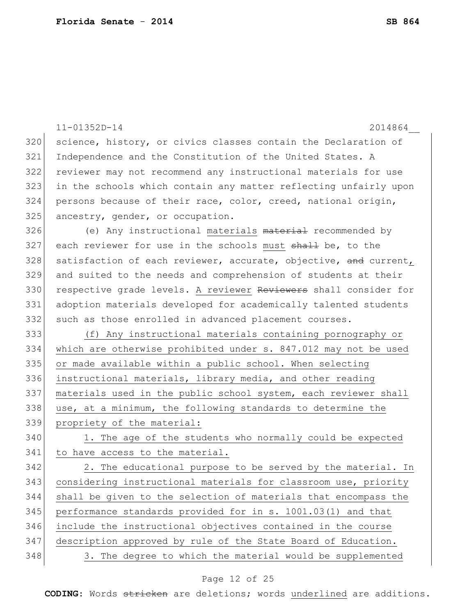|     | $11 - 01352D - 14$<br>2014864                                    |
|-----|------------------------------------------------------------------|
| 320 | science, history, or civics classes contain the Declaration of   |
| 321 | Independence and the Constitution of the United States. A        |
| 322 | reviewer may not recommend any instructional materials for use   |
| 323 | in the schools which contain any matter reflecting unfairly upon |
| 324 | persons because of their race, color, creed, national origin,    |
| 325 | ancestry, gender, or occupation.                                 |
| 326 | (e) Any instructional materials material recommended by          |
| 327 | each reviewer for use in the schools must shall be, to the       |
| 328 | satisfaction of each reviewer, accurate, objective, and current, |
| 329 | and suited to the needs and comprehension of students at their   |
| 330 | respective grade levels. A reviewer Reviewers shall consider for |
| 331 | adoption materials developed for academically talented students  |
| 332 | such as those enrolled in advanced placement courses.            |
| 333 | (f) Any instructional materials containing pornography or        |
| 334 | which are otherwise prohibited under s. 847.012 may not be used  |
| 335 | or made available within a public school. When selecting         |
| 336 | instructional materials, library media, and other reading        |
| 337 | materials used in the public school system, each reviewer shall  |
| 338 | use, at a minimum, the following standards to determine the      |
| 339 | propriety of the material:                                       |
| 340 | 1. The age of the students who normally could be expected        |
| 341 | to have access to the material.                                  |
| 342 | 2. The educational purpose to be served by the material. In      |
| 343 | considering instructional materials for classroom use, priority  |
| 344 | shall be given to the selection of materials that encompass the  |
| 345 | performance standards provided for in s. 1001.03(1) and that     |
| 346 | include the instructional objectives contained in the course     |
| 347 | description approved by rule of the State Board of Education.    |
| 348 | 3. The degree to which the material would be supplemented        |

# Page 12 of 25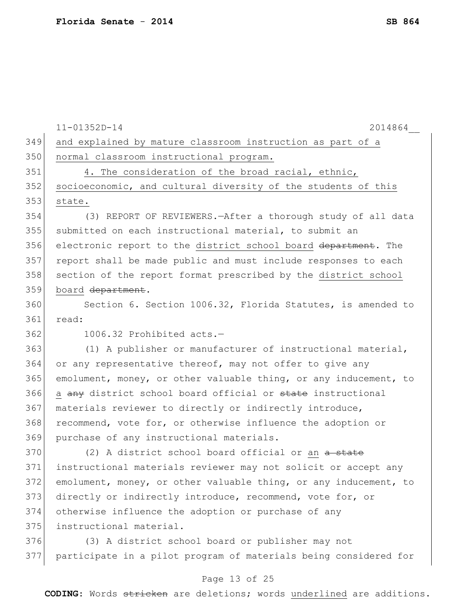|     | $11 - 01352D - 14$<br>2014864                                    |
|-----|------------------------------------------------------------------|
| 349 | and explained by mature classroom instruction as part of a       |
| 350 | normal classroom instructional program.                          |
| 351 | 4. The consideration of the broad racial, ethnic,                |
| 352 | socioeconomic, and cultural diversity of the students of this    |
| 353 | state.                                                           |
| 354 | (3) REPORT OF REVIEWERS. - After a thorough study of all data    |
| 355 | submitted on each instructional material, to submit an           |
| 356 | electronic report to the district school board department. The   |
| 357 | report shall be made public and must include responses to each   |
| 358 | section of the report format prescribed by the district school   |
| 359 | board department.                                                |
| 360 | Section 6. Section 1006.32, Florida Statutes, is amended to      |
| 361 | read:                                                            |
| 362 | 1006.32 Prohibited acts.-                                        |
| 363 | (1) A publisher or manufacturer of instructional material,       |
| 364 | or any representative thereof, may not offer to give any         |
| 365 | emolument, money, or other valuable thing, or any inducement, to |
| 366 | a any district school board official or state instructional      |
| 367 | materials reviewer to directly or indirectly introduce,          |
| 368 | recommend, vote for, or otherwise influence the adoption or      |
| 369 | purchase of any instructional materials.                         |
| 370 | (2) A district school board official or an a state               |
| 371 | instructional materials reviewer may not solicit or accept any   |
| 372 | emolument, money, or other valuable thing, or any inducement, to |
| 373 | directly or indirectly introduce, recommend, vote for, or        |
| 374 | otherwise influence the adoption or purchase of any              |
| 375 | instructional material.                                          |
| 376 | (3) A district school board or publisher may not                 |
| 377 | participate in a pilot program of materials being considered for |
|     |                                                                  |

# Page 13 of 25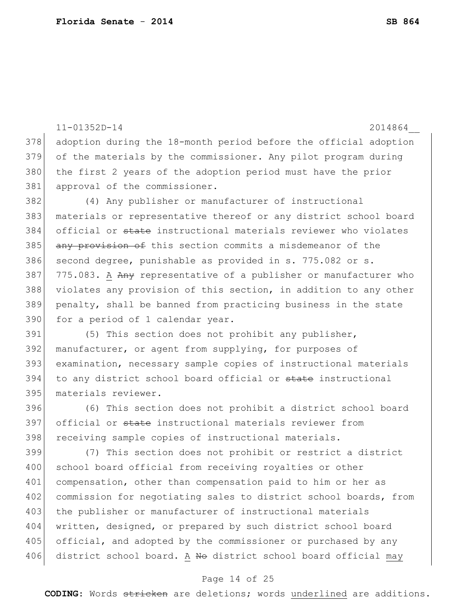```
11-01352D-14 2014864__
378 adoption during the 18-month period before the official adoption 
379 of the materials by the commissioner. Any pilot program during 
380 the first 2 years of the adoption period must have the prior
381 approval of the commissioner.
382 (4) Any publisher or manufacturer of instructional 
383 materials or representative thereof or any district school board 
384 official or state instructional materials reviewer who violates 
385 any provision of this section commits a misdemeanor of the
386 second degree, punishable as provided in s. 775.082 or s.
387 775.083. A Any representative of a publisher or manufacturer who
388 violates any provision of this section, in addition to any other 
389 penalty, shall be banned from practicing business in the state 
390 for a period of 1 calendar year.
391 (5) This section does not prohibit any publisher, 
392 manufacturer, or agent from supplying, for purposes of 
393 examination, necessary sample copies of instructional materials 
394 to any district school board official or state instructional
395 materials reviewer.
396 (6) This section does not prohibit a district school board 
397 official or state instructional materials reviewer from
398 receiving sample copies of instructional materials.
399 (7) This section does not prohibit or restrict a district 
400 school board official from receiving royalties or other
401 compensation, other than compensation paid to him or her as 
402 commission for negotiating sales to district school boards, from
403 the publisher or manufacturer of instructional materials
```
404 written, designed, or prepared by such district school board 405 official, and adopted by the commissioner or purchased by any 406 district school board. A No district school board official may

#### Page 14 of 25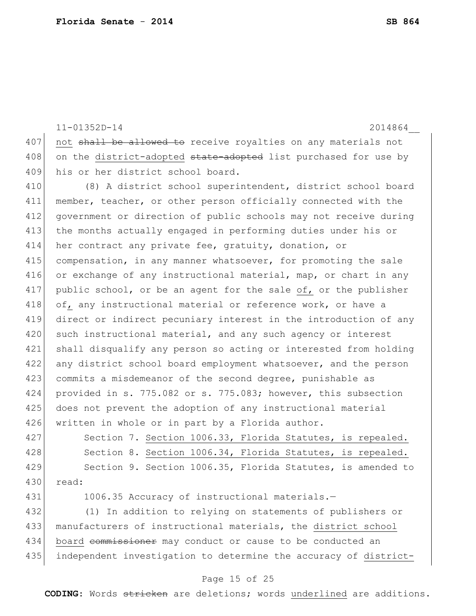11-01352D-14 2014864\_\_ 407 not shall be allowed to receive royalties on any materials not 408 on the district-adopted state-adopted list purchased for use by 409 his or her district school board. 410 (8) A district school superintendent, district school board 411 member, teacher, or other person officially connected with the 412 government or direction of public schools may not receive during 413 the months actually engaged in performing duties under his or 414 her contract any private fee, gratuity, donation, or 415 compensation, in any manner whatsoever, for promoting the sale 416 or exchange of any instructional material, map, or chart in any 417 public school, or be an agent for the sale of, or the publisher 418 of, any instructional material or reference work, or have a 419 direct or indirect pecuniary interest in the introduction of any 420 such instructional material, and any such agency or interest 421 shall disqualify any person so acting or interested from holding 422 any district school board employment whatsoever, and the person 423 commits a misdemeanor of the second degree, punishable as 424 provided in s. 775.082 or s. 775.083; however, this subsection 425 does not prevent the adoption of any instructional material 426 written in whole or in part by a Florida author. 427 Section 7. Section 1006.33, Florida Statutes, is repealed. 428 Section 8. Section 1006.34, Florida Statutes, is repealed. 429 Section 9. Section 1006.35, Florida Statutes, is amended to 430 read: 431 1006.35 Accuracy of instructional materials. 432 (1) In addition to relying on statements of publishers or 433 manufacturers of instructional materials, the district school 434 board commissioner may conduct or cause to be conducted an 435 independent investigation to determine the accuracy of district-

### Page 15 of 25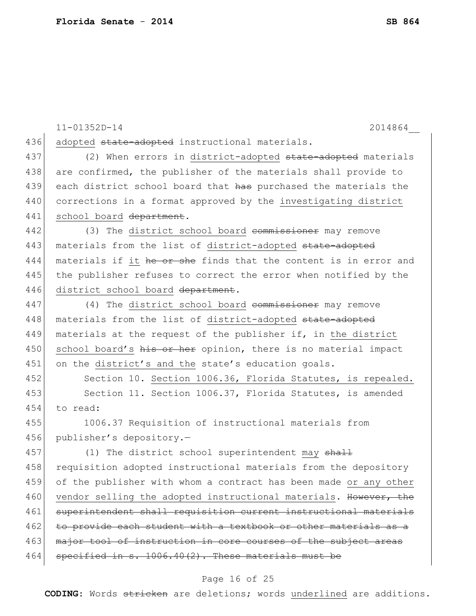|     | $11 - 01352D - 14$<br>2014864                                    |
|-----|------------------------------------------------------------------|
| 436 | adopted state-adopted instructional materials.                   |
| 437 | (2) When errors in district-adopted state-adopted materials      |
| 438 | are confirmed, the publisher of the materials shall provide to   |
| 439 | each district school board that has purchased the materials the  |
| 440 | corrections in a format approved by the investigating district   |
| 441 | school board department.                                         |
| 442 | (3) The district school board commissioner may remove            |
| 443 | materials from the list of district-adopted state-adopted        |
| 444 | materials if it he or she finds that the content is in error and |
| 445 | the publisher refuses to correct the error when notified by the  |
| 446 | district school board department.                                |
| 447 | (4) The district school board commissioner may remove            |
| 448 | materials from the list of district-adopted state-adopted        |
| 449 | materials at the request of the publisher if, in the district    |
| 450 | school board's his or her opinion, there is no material impact   |
| 451 | on the district's and the state's education goals.               |
| 452 | Section 10. Section 1006.36, Florida Statutes, is repealed.      |
| 453 | Section 11. Section 1006.37, Florida Statutes, is amended        |
| 454 | to read:                                                         |
| 455 | 1006.37 Requisition of instructional materials from              |
| 456 | publisher's depository.-                                         |
| 457 | (1) The district school superintendent may shall                 |
| 458 | requisition adopted instructional materials from the depository  |
| 459 | of the publisher with whom a contract has been made or any other |
| 460 | vendor selling the adopted instructional materials. However, the |
| 461 | superintendent shall requisition current instructional materials |
| 462 | to provide each student with a textbook or other materials as a  |
| 463 | major tool of instruction in core courses of the subject areas   |
| 464 | specified in s. 1006.40(2). These materials must be              |

# Page 16 of 25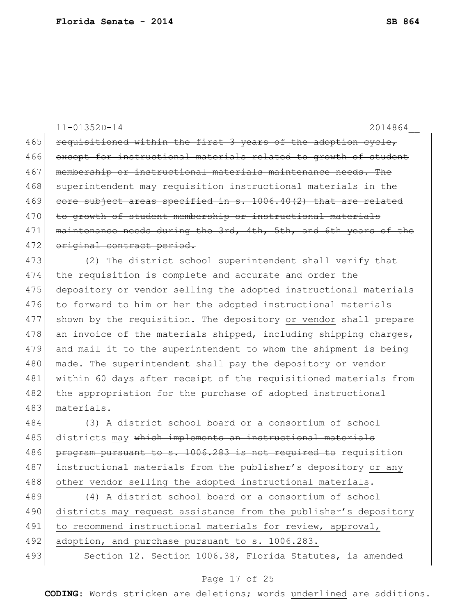11-01352D-14 2014864\_\_ 465 requisitioned within the first 3 years of the adoption cycle, 466 except for instructional materials related to growth of student 467 membership or instructional materials maintenance needs. The 468 superintendent may requisition instructional materials in the 469 core subject areas specified in  $s. 1006.40(2)$  that are related 470 to growth of student membership or instructional materials 471 maintenance needs during the 3rd, 4th, 5th, and 6th years of the 472 original contract period. 473 (2) The district school superintendent shall verify that 474 the requisition is complete and accurate and order the 475 depository or vendor selling the adopted instructional materials 476 to forward to him or her the adopted instructional materials 477 shown by the requisition. The depository or vendor shall prepare

478 an invoice of the materials shipped, including shipping charges, 479 and mail it to the superintendent to whom the shipment is being 480 made. The superintendent shall pay the depository or vendor 481 within 60 days after receipt of the requisitioned materials from 482 the appropriation for the purchase of adopted instructional 483 materials.

484 (3) A district school board or a consortium of school 485 districts may which implements an instructional materials 486 program pursuant to s. 1006.283 is not required to requisition 487 instructional materials from the publisher's depository or any 488 other vendor selling the adopted instructional materials.

489 (4) A district school board or a consortium of school 490 districts may request assistance from the publisher's depository 491 to recommend instructional materials for review, approval, 492 adoption, and purchase pursuant to s. 1006.283. 493 Section 12. Section 1006.38, Florida Statutes, is amended

#### Page 17 of 25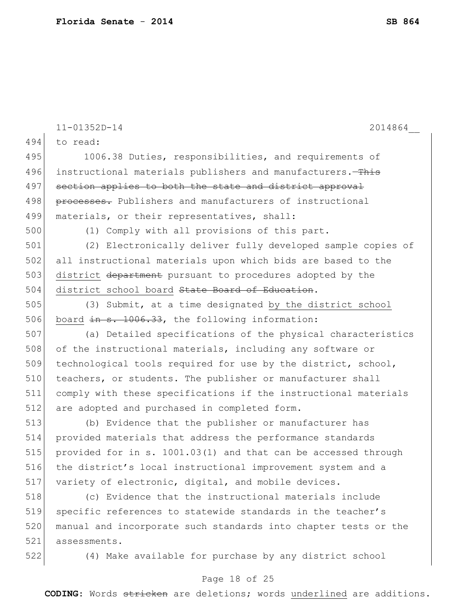|     | $11 - 01352D - 14$<br>2014864                                   |
|-----|-----------------------------------------------------------------|
| 494 | to read:                                                        |
| 495 | 1006.38 Duties, responsibilities, and requirements of           |
| 496 | instructional materials publishers and manufacturers.-This      |
| 497 | section applies to both the state and district approval         |
| 498 | processes. Publishers and manufacturers of instructional        |
| 499 | materials, or their representatives, shall:                     |
| 500 | (1) Comply with all provisions of this part.                    |
| 501 | (2) Electronically deliver fully developed sample copies of     |
| 502 | all instructional materials upon which bids are based to the    |
| 503 | district department pursuant to procedures adopted by the       |
| 504 | district school board State Board of Education.                 |
| 505 | (3) Submit, at a time designated by the district school         |
| 506 | board in s. 1006.33, the following information:                 |
| 507 | (a) Detailed specifications of the physical characteristics     |
| 508 | of the instructional materials, including any software or       |
| 509 | technological tools required for use by the district, school,   |
| 510 | teachers, or students. The publisher or manufacturer shall      |
| 511 | comply with these specifications if the instructional materials |
| 512 | are adopted and purchased in completed form.                    |
| 513 | (b) Evidence that the publisher or manufacturer has             |
| 514 | provided materials that address the performance standards       |
| 515 | provided for in s. 1001.03(1) and that can be accessed through  |
| 516 | the district's local instructional improvement system and a     |
| 517 | variety of electronic, digital, and mobile devices.             |
| 518 | (c) Evidence that the instructional materials include           |
| 519 | specific references to statewide standards in the teacher's     |
| 520 | manual and incorporate such standards into chapter tests or the |
| 521 | assessments.                                                    |
| 522 | (4) Make available for purchase by any district school          |

# Page 18 of 25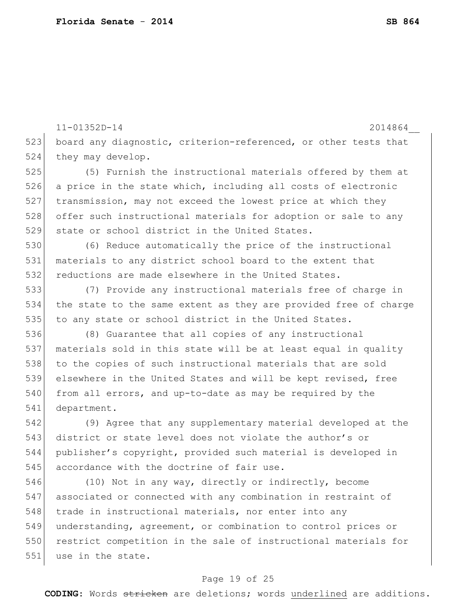11-01352D-14 2014864\_\_ 523 board any diagnostic, criterion-referenced, or other tests that 524 they may develop. 525 (5) Furnish the instructional materials offered by them at 526 a price in the state which, including all costs of electronic 527 transmission, may not exceed the lowest price at which they 528 offer such instructional materials for adoption or sale to any 529 state or school district in the United States. 530 (6) Reduce automatically the price of the instructional 531 materials to any district school board to the extent that 532 reductions are made elsewhere in the United States. 533 (7) Provide any instructional materials free of charge in 534 the state to the same extent as they are provided free of charge 535 to any state or school district in the United States. 536 (8) Guarantee that all copies of any instructional 537 materials sold in this state will be at least equal in quality 538 to the copies of such instructional materials that are sold 539 elsewhere in the United States and will be kept revised, free 540 from all errors, and up-to-date as may be required by the 541 department. 542 (9) Agree that any supplementary material developed at the 543 district or state level does not violate the author's or 544 publisher's copyright, provided such material is developed in 545 accordance with the doctrine of fair use. 546 (10) Not in any way, directly or indirectly, become 547 associated or connected with any combination in restraint of 548 trade in instructional materials, nor enter into any 549 understanding, agreement, or combination to control prices or 550 restrict competition in the sale of instructional materials for 551 use in the state.

### Page 19 of 25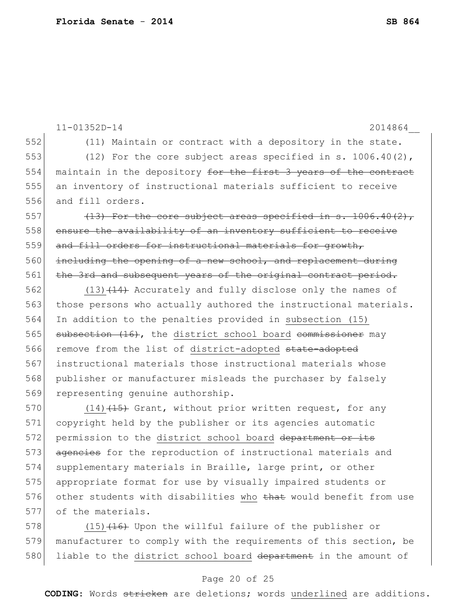```
11-01352D-14 2014864__
552 (11) Maintain or contract with a depository in the state.
553 (12) For the core subject areas specified in s. 1006.40(2), 
554 maintain in the depository for the first 3 years of the contract
555 an inventory of instructional materials sufficient to receive 
556 and fill orders.
557 (13) For the core subject areas specified in s. 1006.40(2),
558 ensure the availability of an inventory sufficient to receive
559 and fill orders for instructional materials for growth,
560 including the opening of a new school, and replacement during
561 the 3rd and subsequent years of the original contract period.
562 (13)(14) Accurately and fully disclose only the names of
563 those persons who actually authored the instructional materials.
564 In addition to the penalties provided in subsection (15)
565 subsection (16), the district school board commissioner may
566 remove from the list of district-adopted state-adopted
567 instructional materials those instructional materials whose 
568 publisher or manufacturer misleads the purchaser by falsely 
569 representing genuine authorship.
570 (14) (15) Grant, without prior written request, for any
571 copyright held by the publisher or its agencies automatic 
572 permission to the district school board department or its
573 agencies for the reproduction of instructional materials and
574 supplementary materials in Braille, large print, or other
575 appropriate format for use by visually impaired students or 
576 other students with disabilities who that would benefit from use
577 of the materials.
578 (15) (16) Upon the willful failure of the publisher or
```
579 manufacturer to comply with the requirements of this section, be 580 liable to the district school board department in the amount of

### Page 20 of 25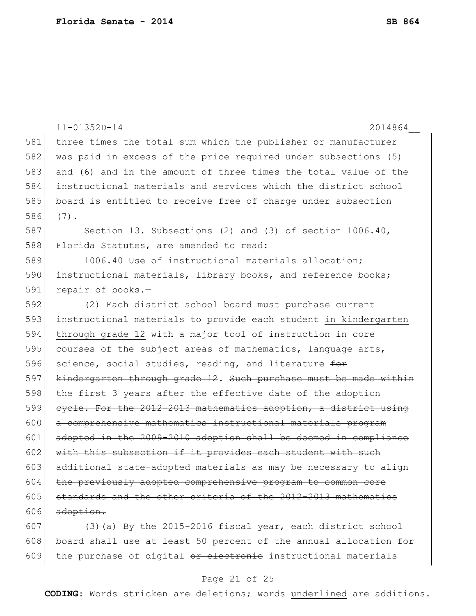|       | $11 - 01352D - 14$<br>2014864                                    |
|-------|------------------------------------------------------------------|
| $581$ | three times the total sum which the publisher or manufacturer    |
| 582   | was paid in excess of the price required under subsections (5)   |
| 583   | and (6) and in the amount of three times the total value of the  |
| 584   | instructional materials and services which the district school   |
| 585   | board is entitled to receive free of charge under subsection     |
| 586   | $(7)$ .                                                          |
| 587   | Section 13. Subsections (2) and (3) of section 1006.40,          |
| 588   | Florida Statutes, are amended to read:                           |
| 589   | 1006.40 Use of instructional materials allocation;               |
| 590   | instructional materials, library books, and reference books;     |
| 591   | repair of books.-                                                |
| 592   | (2) Each district school board must purchase current             |
| 593   | instructional materials to provide each student in kindergarten  |
| 594   | through grade 12 with a major tool of instruction in core        |
| 595   | courses of the subject areas of mathematics, language arts,      |
| 596   | science, social studies, reading, and literature for             |
| 597   | kindergarten through grade 12. Such purchase must be made within |
| 598   | the first 3 years after the effective date of the adoption       |
| 599   | eyele. For the 2012-2013 mathematics adoption, a district using  |
| 600   | a comprehensive mathematics instructional materials program      |
| 601   | adopted in the 2009-2010 adoption shall be deemed in compliance  |
| 602   | with this subsection if it provides each student with such       |
| 603   | additional state-adopted materials as may be necessary to align  |
| 604   | the previously adopted comprehensive program to common core      |
| 605   | standards and the other criteria of the 2012-2013 mathematics    |
| 606   | adoption.                                                        |
| 607   | $(3)$ $(a)$ By the 2015-2016 fiscal year, each district school   |

608 board shall use at least 50 percent of the annual allocation for 609 the purchase of digital or electronie instructional materials

### Page 21 of 25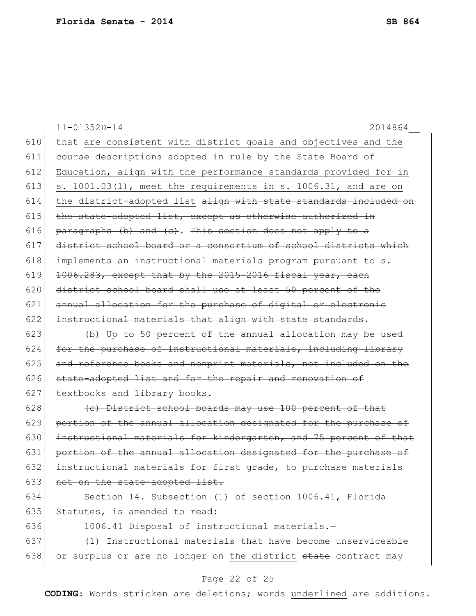|     | $11 - 01352D - 14$<br>2014864                                    |
|-----|------------------------------------------------------------------|
| 610 | that are consistent with district goals and objectives and the   |
| 611 | course descriptions adopted in rule by the State Board of        |
| 612 | Education, align with the performance standards provided for in  |
| 613 | s. 1001.03(1), meet the requirements in s. 1006.31, and are on   |
| 614 | the district-adopted list align with state standards included on |
| 615 | the state-adopted list, except as otherwise authorized in        |
| 616 | paragraphs (b) and (c). This section does not apply to a         |
| 617 | district school board or a consortium of school districts which  |
| 618 | implements an instructional materials program pursuant to s.     |
| 619 | 1006.283, except that by the 2015-2016 fiscal year, each         |
| 620 | district school board shall use at least 50 percent of the       |
| 621 | annual allocation for the purchase of digital or electronic      |
| 622 | instructional materials that align with state standards.         |
| 623 | (b) Up to 50 percent of the annual allocation may be used        |
| 624 | for the purchase of instructional materials, including library   |
| 625 | and reference books and nonprint materials, not included on the  |
| 626 | state-adopted list and for the repair and renovation of          |
| 627 | textbooks and library books.                                     |
| 628 | (c) District school boards may use 100 percent of that           |
| 629 | portion of the annual allocation designated for the purchase of  |
| 630 | instructional materials for kindergarten, and 75 percent of that |
| 631 | portion of the annual allocation designated for the purchase of  |
| 632 | instructional materials for first grade, to purchase materials   |
| 633 | not on the state-adopted list.                                   |
| 634 | Section 14. Subsection (1) of section 1006.41, Florida           |
| 635 | Statutes, is amended to read:                                    |
| 636 | 1006.41 Disposal of instructional materials.-                    |
| 637 | (1) Instructional materials that have become unserviceable       |
| 638 | or surplus or are no longer on the district state contract may   |
|     |                                                                  |

# Page 22 of 25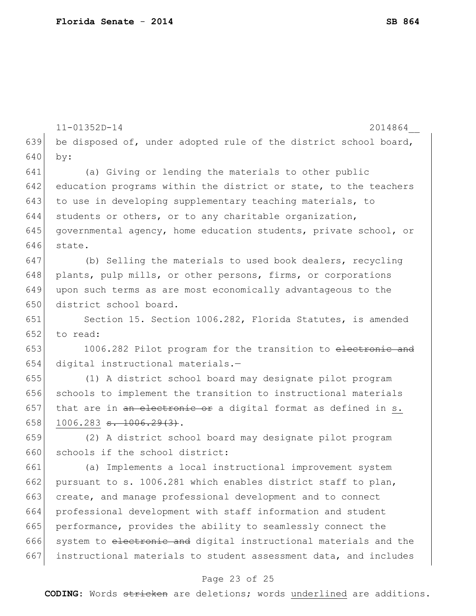|     | $11 - 01352D - 14$<br>2014864                                    |
|-----|------------------------------------------------------------------|
| 639 | be disposed of, under adopted rule of the district school board, |
| 640 | by:                                                              |
| 641 | (a) Giving or lending the materials to other public              |
| 642 | education programs within the district or state, to the teachers |
| 643 | to use in developing supplementary teaching materials, to        |
| 644 | students or others, or to any charitable organization,           |
| 645 | governmental agency, home education students, private school, or |
| 646 | state.                                                           |
| 647 | (b) Selling the materials to used book dealers, recycling        |
| 648 | plants, pulp mills, or other persons, firms, or corporations     |
| 649 | upon such terms as are most economically advantageous to the     |
| 650 | district school board.                                           |
| 651 | Section 15. Section 1006.282, Florida Statutes, is amended       |
| 652 | to read:                                                         |
| 653 | 1006.282 Pilot program for the transition to electronic and      |
| 654 | digital instructional materials.-                                |
| 655 | (1) A district school board may designate pilot program          |
| 656 | schools to implement the transition to instructional materials   |
| 657 | that are in an electronic or a digital format as defined in s.   |
| 658 | $1006.283$ s. $1006.29(3)$ .                                     |
| 659 | (2) A district school board may designate pilot program          |
| 660 | schools if the school district:                                  |
| 661 | (a) Implements a local instructional improvement system          |
| 662 | pursuant to s. 1006.281 which enables district staff to plan,    |
| 663 | create, and manage professional development and to connect       |
| 664 | professional development with staff information and student      |
| 665 | performance, provides the ability to seamlessly connect the      |
| 666 | system to electronic and digital instructional materials and the |
| 667 | instructional materials to student assessment data, and includes |

# Page 23 of 25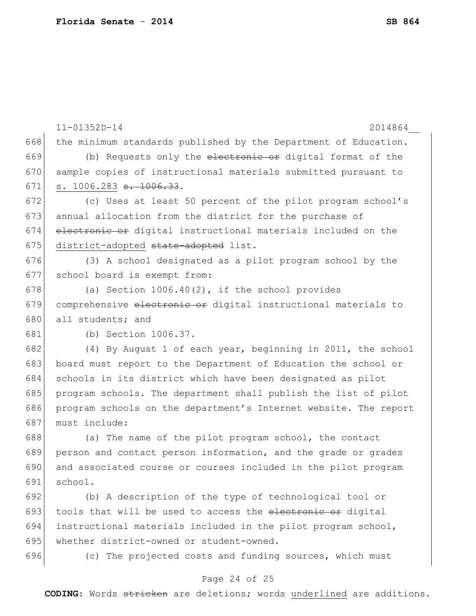|     | $11 - 01352D - 14$<br>2014864                                    |
|-----|------------------------------------------------------------------|
| 668 | the minimum standards published by the Department of Education.  |
| 669 | (b) Requests only the electronic or digital format of the        |
| 670 | sample copies of instructional materials submitted pursuant to   |
| 671 | s. 1006.283 <del>s. 1006.33</del> .                              |
| 672 | (c) Uses at least 50 percent of the pilot program school's       |
| 673 | annual allocation from the district for the purchase of          |
| 674 | electronic or digital instructional materials included on the    |
| 675 | district-adopted state-adopted list.                             |
| 676 | (3) A school designated as a pilot program school by the         |
| 677 | school board is exempt from:                                     |
| 678 | (a) Section $1006.40(2)$ , if the school provides                |
| 679 | comprehensive electronic or digital instructional materials to   |
| 680 | all students; and                                                |
| 681 | (b) Section 1006.37.                                             |
| 682 | (4) By August 1 of each year, beginning in 2011, the school      |
| 683 | board must report to the Department of Education the school or   |
| 684 | schools in its district which have been designated as pilot      |
| 685 | program schools. The department shall publish the list of pilot  |
| 686 | program schools on the department's Internet website. The report |
| 687 | must include:                                                    |
| 688 | (a) The name of the pilot program school, the contact            |
| 689 | person and contact person information, and the grade or grades   |
| 690 | and associated course or courses included in the pilot program   |
| 691 | school.                                                          |
| 692 | (b) A description of the type of technological tool or           |
| 693 | tools that will be used to access the electronic or digital      |
| 694 | instructional materials included in the pilot program school,    |
| 695 | whether district-owned or student-owned.                         |
| 696 | (c) The projected costs and funding sources, which must          |
|     | Page 24 of 25                                                    |